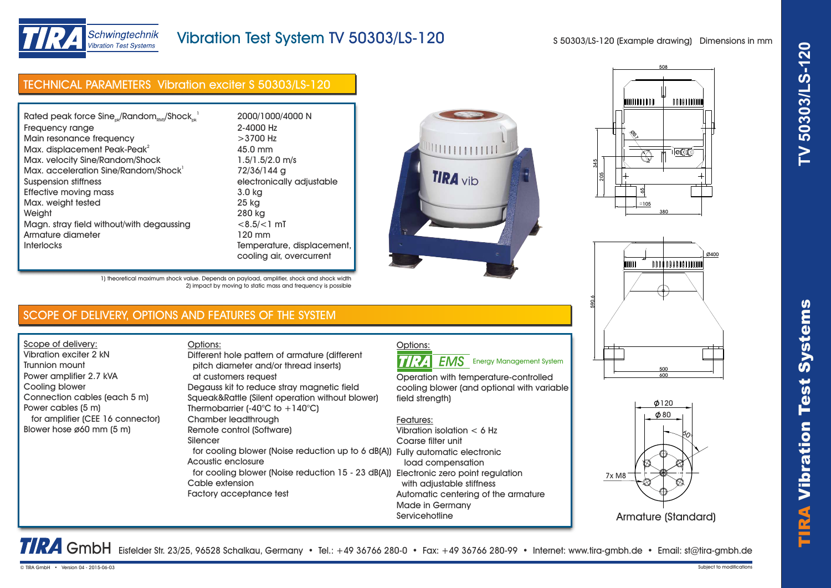

# Vibration Test System TV 50303/LS-120

S 50303/LS-120 (Example drawing) Dimensions in mm

# TECHNICAL PARAMETERS Vibration exciter S 50303/LS-120

| Rated peak force $Sine_{nk}/Random_{nns}/Shock_{nk}^{-1}$ | 2000/1000/4000 N    |
|-----------------------------------------------------------|---------------------|
| Frequency range                                           | 2-4000 Hz           |
| Main resonance frequency                                  | $>3700$ Hz          |
| Max. displacement Peak-Peak <sup>2</sup>                  | 45.0 mm             |
| Max. velocity Sine/Random/Shock                           | $1.5/1.5/2.0$ m/s   |
| Max. acceleration Sine/Random/Shock <sup>1</sup>          | 72/36/144 g         |
| Suspension stiffness                                      | electronically adju |
| Effective moving mass                                     | 3.0 kg              |
| Max. weight tested                                        | 25 kg               |
| Weight                                                    | 280 kg              |
| Magn. stray field without/with degaussing                 | $<8.5/<1$ mT        |
| Armature diameter                                         | 120 mm              |
| <b>Interlocks</b>                                         | Temperature, displ  |
|                                                           | cooling air ovorou  |









1) theoretical maximum shock value. Depends on payload, amplifier, shock and shock width 2) impact by moving to static mass and frequency is possible

## SCOPE OF DELIVERY, OPTIONS AND FEATURES OF THE SYSTEM

Options:

Scope of delivery: Vibration exciter 2 kN Trunnion mount Power amplifier 2.7 kVA Cooling blower Connection cables (each 5 m) Power cables (5 m) for amplifier (CEE 16 connector) Blower hose ø60 mm (5 m)

## pitch diameter and/or thread inserts) at customers request Degauss kit to reduce stray magnetic field Squeak&Rattle (Silent operation without blower) Thermobarrier (-40 $^{\circ}$ C to +140 $^{\circ}$ C) Chamber leadthrough Remote control (Software) Silencer for cooling blower (Noise reduction up to 6 dB(A)) Fully automatic electronic Acoustic enclosure for cooling blower (Noise reduction 15 - 23 dB(A)) Electronic zero point regulation Cable extension Factory acceptance test Different hole pattern of armature (different

# Options:

TIRA **EMS** Energy Management System

Operation with temperature-controlled cooling blower (and optional with variable field strenath)

## Features:

Vibration isolation < 6 Hz Coarse filter unit load compensation with adjustable stiffness Automatic centering of the armature Made in Germany **Servicehotline** 





TRA GmbH Eisfelder Str. 23/25, 96528 Schalkau, Germany • Tel.: +49 36766 280-0 • Fax: +49 36766 280-99 • Internet: www.tira-gmbh.de • Email: st@tira-gmbh.de